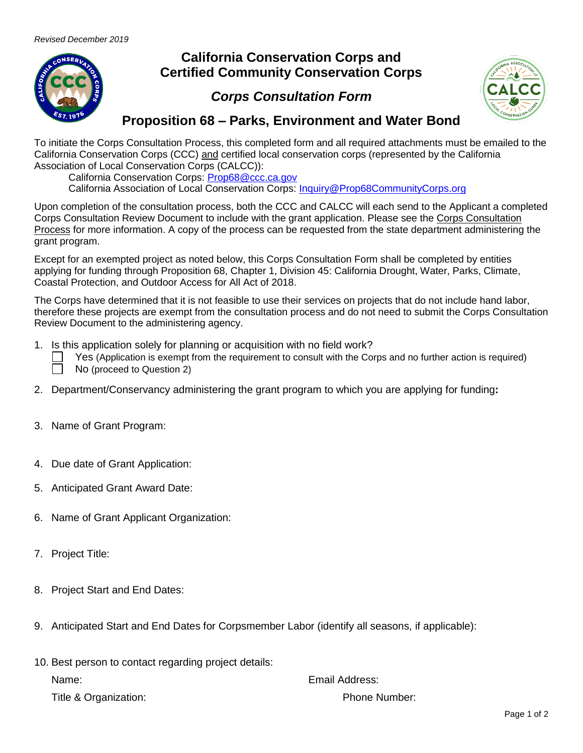

## **California Conservation Corps and Certified Community Conservation Corps**

## *Corps Consultation Form*



## **Proposition 68 – Parks, Environment and Water Bond**

To initiate the Corps Consultation Process, this completed form and all required attachments must be emailed to the California Conservation Corps (CCC) and certified local conservation corps (represented by the California Association of Local Conservation Corps (CALCC)):

California Conservation Corps: [Prop68@ccc.ca.gov](mailto:Prop68@ccc.ca.gov)

California Association of Local Conservation Corps: [Inquiry@Prop68CommunityCorps.org](mailto:Inquiry@Prop68CommunityCorps.org)

Upon completion of the consultation process, both the CCC and CALCC will each send to the Applicant a completed Corps Consultation Review Document to include with the grant application. Please see the Corps Consultation Process for more information. A copy of the process can be requested from the state department administering the grant program.

Except for an exempted project as noted below, this Corps Consultation Form shall be completed by entities applying for funding through Proposition 68, Chapter 1, Division 45: California Drought, Water, Parks, Climate, Coastal Protection, and Outdoor Access for All Act of 2018.

The Corps have determined that it is not feasible to use their services on projects that do not include hand labor, therefore these projects are exempt from the consultation process and do not need to submit the Corps Consultation Review Document to the administering agency.

1. Is this application solely for planning or acquisition with no field work?

| Yes (Application is exempt from the requirement to consult with the Corps and no further action is required) |
|--------------------------------------------------------------------------------------------------------------|
| No (proceed to Question 2)                                                                                   |

- 2. Department/Conservancy administering the grant program to which you are applying for funding**:**
- 3. Name of Grant Program:
- 4. Due date of Grant Application:
- 5. Anticipated Grant Award Date:
- 6. Name of Grant Applicant Organization:
- 7. Project Title:
- 8. Project Start and End Dates:
- 9. Anticipated Start and End Dates for Corpsmember Labor (identify all seasons, if applicable):

|       | 10. Best person to contact regarding project details: |
|-------|-------------------------------------------------------|
| Name: |                                                       |

Title & Organization: Title & Organization:

Email Address: